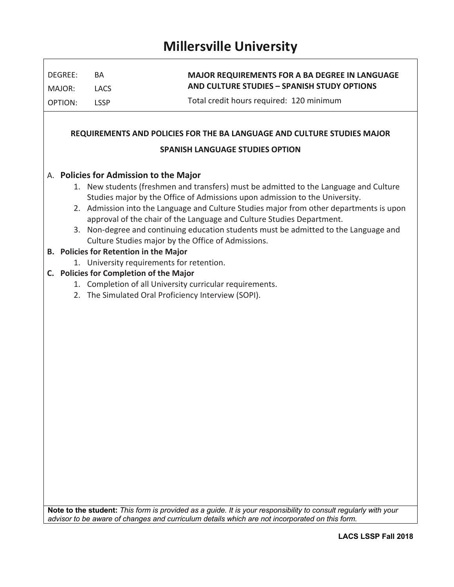## **Millersville University**

| MAJOR:<br>OPTION:<br>C. Policies for Completion of the Major | <b>LACS</b>                                                                                                                                                            |                                                                                                                                                                                                                   |  |  |  |  |
|--------------------------------------------------------------|------------------------------------------------------------------------------------------------------------------------------------------------------------------------|-------------------------------------------------------------------------------------------------------------------------------------------------------------------------------------------------------------------|--|--|--|--|
|                                                              | <b>LSSP</b>                                                                                                                                                            | AND CULTURE STUDIES - SPANISH STUDY OPTIONS<br>Total credit hours required: 120 minimum                                                                                                                           |  |  |  |  |
|                                                              |                                                                                                                                                                        |                                                                                                                                                                                                                   |  |  |  |  |
|                                                              |                                                                                                                                                                        | REQUIREMENTS AND POLICIES FOR THE BA LANGUAGE AND CULTURE STUDIES MAJOR                                                                                                                                           |  |  |  |  |
|                                                              | <b>SPANISH LANGUAGE STUDIES OPTION</b>                                                                                                                                 |                                                                                                                                                                                                                   |  |  |  |  |
|                                                              | A. Policies for Admission to the Major                                                                                                                                 |                                                                                                                                                                                                                   |  |  |  |  |
|                                                              | 1. New students (freshmen and transfers) must be admitted to the Language and Culture                                                                                  |                                                                                                                                                                                                                   |  |  |  |  |
|                                                              | Studies major by the Office of Admissions upon admission to the University.<br>2. Admission into the Language and Culture Studies major from other departments is upon |                                                                                                                                                                                                                   |  |  |  |  |
|                                                              |                                                                                                                                                                        | approval of the chair of the Language and Culture Studies Department.                                                                                                                                             |  |  |  |  |
|                                                              |                                                                                                                                                                        | 3. Non-degree and continuing education students must be admitted to the Language and                                                                                                                              |  |  |  |  |
|                                                              |                                                                                                                                                                        | Culture Studies major by the Office of Admissions.                                                                                                                                                                |  |  |  |  |
|                                                              | B. Policies for Retention in the Major                                                                                                                                 |                                                                                                                                                                                                                   |  |  |  |  |
|                                                              |                                                                                                                                                                        | 1. University requirements for retention.                                                                                                                                                                         |  |  |  |  |
|                                                              |                                                                                                                                                                        | 1. Completion of all University curricular requirements.                                                                                                                                                          |  |  |  |  |
|                                                              |                                                                                                                                                                        | 2. The Simulated Oral Proficiency Interview (SOPI).                                                                                                                                                               |  |  |  |  |
|                                                              |                                                                                                                                                                        |                                                                                                                                                                                                                   |  |  |  |  |
|                                                              |                                                                                                                                                                        |                                                                                                                                                                                                                   |  |  |  |  |
|                                                              |                                                                                                                                                                        |                                                                                                                                                                                                                   |  |  |  |  |
|                                                              |                                                                                                                                                                        |                                                                                                                                                                                                                   |  |  |  |  |
|                                                              |                                                                                                                                                                        |                                                                                                                                                                                                                   |  |  |  |  |
|                                                              |                                                                                                                                                                        |                                                                                                                                                                                                                   |  |  |  |  |
|                                                              |                                                                                                                                                                        |                                                                                                                                                                                                                   |  |  |  |  |
|                                                              |                                                                                                                                                                        |                                                                                                                                                                                                                   |  |  |  |  |
|                                                              |                                                                                                                                                                        |                                                                                                                                                                                                                   |  |  |  |  |
|                                                              |                                                                                                                                                                        |                                                                                                                                                                                                                   |  |  |  |  |
|                                                              |                                                                                                                                                                        |                                                                                                                                                                                                                   |  |  |  |  |
|                                                              |                                                                                                                                                                        |                                                                                                                                                                                                                   |  |  |  |  |
|                                                              |                                                                                                                                                                        |                                                                                                                                                                                                                   |  |  |  |  |
|                                                              |                                                                                                                                                                        |                                                                                                                                                                                                                   |  |  |  |  |
|                                                              |                                                                                                                                                                        |                                                                                                                                                                                                                   |  |  |  |  |
|                                                              |                                                                                                                                                                        |                                                                                                                                                                                                                   |  |  |  |  |
|                                                              |                                                                                                                                                                        |                                                                                                                                                                                                                   |  |  |  |  |
|                                                              |                                                                                                                                                                        |                                                                                                                                                                                                                   |  |  |  |  |
|                                                              |                                                                                                                                                                        | Note to the student: This form is provided as a guide. It is your responsibility to consult regularly with your<br>advisor to be aware of changes and curriculum details which are not incorporated on this form. |  |  |  |  |